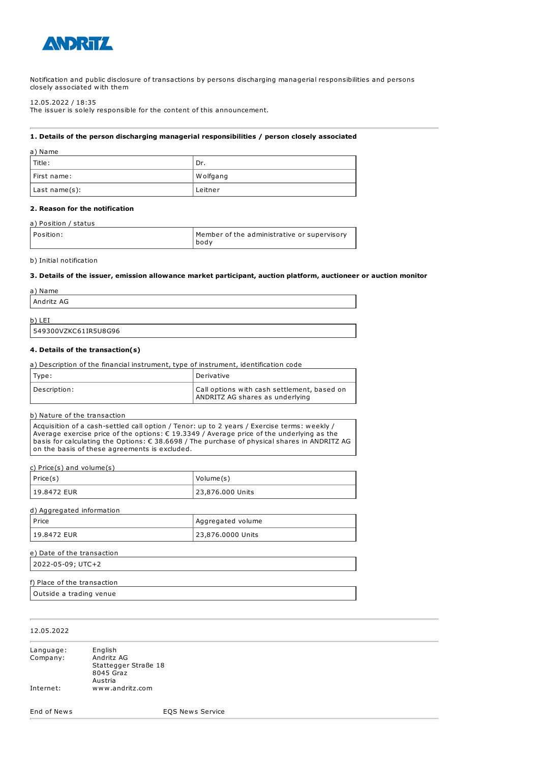

Notification and public disclosure of transactions by persons discharging managerial responsibilities and persons closely associated with them

12.05.2022 / 18:35

The issuer is solely responsible for the content of this announcement.

### 1. Details of the person discharging managerial responsibilities / person closely associated

| a) Name       |           |
|---------------|-----------|
| l Title :     | ' Dr.     |
| First name:   | W olfgang |
| Last name(s): | Leitner   |

### 2. Reason for the notification

#### a) Position / status

| Position: | Member of the administrative or supervisory |
|-----------|---------------------------------------------|
|           | bodv                                        |

### b) Initial notification

#### 3. Details of the issuer, emission allowance market participant, auction platform, auctioneer or auction monitor

| a) Name    |  |  |
|------------|--|--|
| Andritz AG |  |  |
| b)<br>LEI  |  |  |

# 549300VZKC61IR5U8G96

### 4. Details of the transaction(s)

| a) Description of the financial instrument, type of instrument, identification code |                                                                                |
|-------------------------------------------------------------------------------------|--------------------------------------------------------------------------------|
| Type:                                                                               | Derivative                                                                     |
| Description:                                                                        | Call options with cash settlement, based on<br>ANDRITZ AG shares as underlying |

### b) Nature of the transaction

Acquisition of a cash-settled call option / Tenor: up to 2 years / Exercise terms: weekly / Average exercise price of the options: € 19.3349 / Average price of the underlying as the basis for calculating the Options: € 38.6698 / The purchase of physical shares in ANDRITZ AG on the basis of these agreements is excluded.

c) Price(s) and volume(s)

| $ $ Price(s) | Volume(s)        |
|--------------|------------------|
| 19.8472 EUR  | 23,876.000 Units |

| d) Aggregated information |                   |
|---------------------------|-------------------|
| l Price                   | Aggregated volume |
| 19.8472 EUR               | 23,876.0000 Units |

| e) Date of the transaction |  |
|----------------------------|--|
| 2022-05-09; UTC+2          |  |
|                            |  |

# f) Place of the transaction

Outside a trading venue

## 12.05.2022

| Language: | English              |
|-----------|----------------------|
| Company:  | Andritz AG           |
|           | Stattegger Straße 18 |
|           | 8045 Graz            |
|           | Austria              |
| Internet: | www.andritz.com      |

End of News EQS News Service